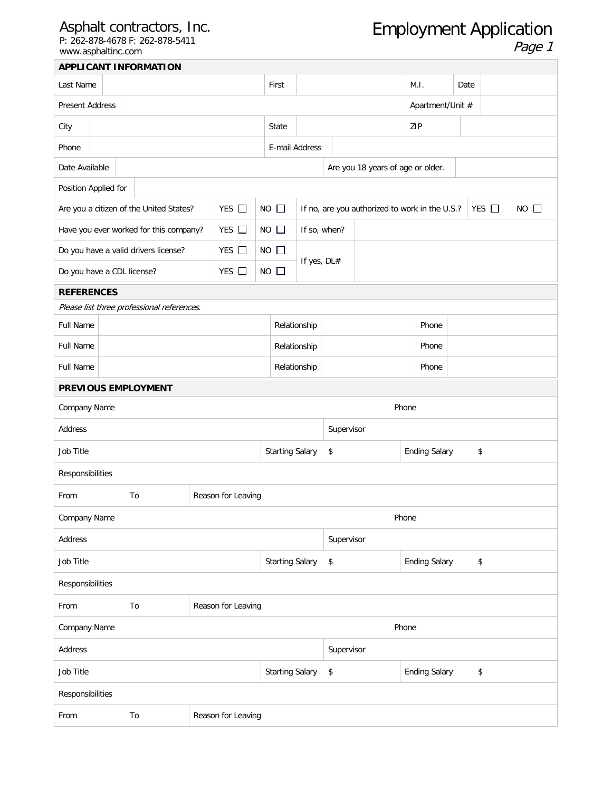## Asphalt contractors, Inc.

P: 262-878-4678 F: 262-878-5411 www.asphaltinc.com

# Employment Application

Page 1

|                                                       |                                                                                                      | <b>APPLICANT INFORMATION</b> |  |                        |                            |                                                      |       |                                   |                      |                      |  |       |             |  |
|-------------------------------------------------------|------------------------------------------------------------------------------------------------------|------------------------------|--|------------------------|----------------------------|------------------------------------------------------|-------|-----------------------------------|----------------------|----------------------|--|-------|-------------|--|
| Last Name                                             |                                                                                                      |                              |  |                        | First                      |                                                      |       |                                   | M.I.                 | Date                 |  |       |             |  |
| Present Address                                       |                                                                                                      |                              |  |                        |                            | Apartment/Unit #                                     |       |                                   |                      |                      |  |       |             |  |
| City                                                  |                                                                                                      |                              |  |                        | State                      |                                                      |       |                                   | ZIP                  |                      |  |       |             |  |
| Phone                                                 |                                                                                                      |                              |  |                        |                            | E-mail Address                                       |       |                                   |                      |                      |  |       |             |  |
| Date Available                                        |                                                                                                      |                              |  |                        |                            |                                                      |       | Are you 18 years of age or older. |                      |                      |  |       |             |  |
| Position Applied for                                  |                                                                                                      |                              |  |                        |                            |                                                      |       |                                   |                      |                      |  |       |             |  |
| YES $\Box$<br>Are you a citizen of the United States? |                                                                                                      |                              |  | $NO$ $\Box$            |                            | If no, are you authorized to work in the U.S.?       |       |                                   |                      |                      |  | YES O | $NO$ $\Box$ |  |
|                                                       | YES $\square$<br>Have you ever worked for this company?                                              |                              |  |                        | $NO$ $\Box$                | If so, when?                                         |       |                                   |                      |                      |  |       |             |  |
|                                                       | YES $\square$<br>Do you have a valid drivers license?<br>YES $\square$<br>Do you have a CDL license? |                              |  | $NO$ $\square$         |                            |                                                      |       |                                   |                      |                      |  |       |             |  |
|                                                       |                                                                                                      |                              |  |                        | If yes, DL#<br>$NO$ $\Box$ |                                                      |       |                                   |                      |                      |  |       |             |  |
| <b>REFERENCES</b>                                     |                                                                                                      |                              |  |                        |                            |                                                      |       |                                   |                      |                      |  |       |             |  |
| Please list three professional references.            |                                                                                                      |                              |  |                        |                            |                                                      |       |                                   |                      |                      |  |       |             |  |
| Full Name                                             |                                                                                                      |                              |  |                        | Relationship               |                                                      |       |                                   |                      | Phone                |  |       |             |  |
| <b>Full Name</b>                                      |                                                                                                      |                              |  |                        | Relationship               |                                                      |       |                                   |                      | Phone                |  |       |             |  |
| Full Name                                             |                                                                                                      |                              |  | Relationship           |                            |                                                      |       |                                   | Phone                |                      |  |       |             |  |
|                                                       |                                                                                                      | PREVIOUS EMPLOYMENT          |  |                        |                            |                                                      |       |                                   |                      |                      |  |       |             |  |
| Company Name                                          |                                                                                                      |                              |  |                        |                            |                                                      | Phone |                                   |                      |                      |  |       |             |  |
| Address                                               |                                                                                                      |                              |  |                        | Supervisor                 |                                                      |       |                                   |                      |                      |  |       |             |  |
| Job Title                                             |                                                                                                      |                              |  |                        | <b>Starting Salary</b>     |                                                      | \$    |                                   |                      | <b>Ending Salary</b> |  | \$    |             |  |
| Responsibilities                                      |                                                                                                      |                              |  |                        |                            |                                                      |       |                                   |                      |                      |  |       |             |  |
| From                                                  | To<br>Reason for Leaving                                                                             |                              |  |                        |                            |                                                      |       |                                   |                      |                      |  |       |             |  |
| Phone<br>Company Name                                 |                                                                                                      |                              |  |                        |                            |                                                      |       |                                   |                      |                      |  |       |             |  |
| Address                                               |                                                                                                      |                              |  |                        | Supervisor                 |                                                      |       |                                   |                      |                      |  |       |             |  |
| Job Title                                             |                                                                                                      |                              |  | <b>Starting Salary</b> |                            | \$                                                   |       |                                   | <b>Ending Salary</b> |                      |  | \$    |             |  |
| Responsibilities                                      |                                                                                                      |                              |  |                        |                            |                                                      |       |                                   |                      |                      |  |       |             |  |
| To<br>From<br>Reason for Leaving                      |                                                                                                      |                              |  |                        |                            |                                                      |       |                                   |                      |                      |  |       |             |  |
| Company Name<br>Phone                                 |                                                                                                      |                              |  |                        |                            |                                                      |       |                                   |                      |                      |  |       |             |  |
| Address                                               |                                                                                                      |                              |  |                        |                            | Supervisor                                           |       |                                   |                      |                      |  |       |             |  |
| Job Title                                             |                                                                                                      |                              |  |                        |                            | <b>Starting Salary</b><br><b>Ending Salary</b><br>\$ |       |                                   | \$                   |                      |  |       |             |  |
| Responsibilities                                      |                                                                                                      |                              |  |                        |                            |                                                      |       |                                   |                      |                      |  |       |             |  |
| From                                                  | To<br>Reason for Leaving                                                                             |                              |  |                        |                            |                                                      |       |                                   |                      |                      |  |       |             |  |